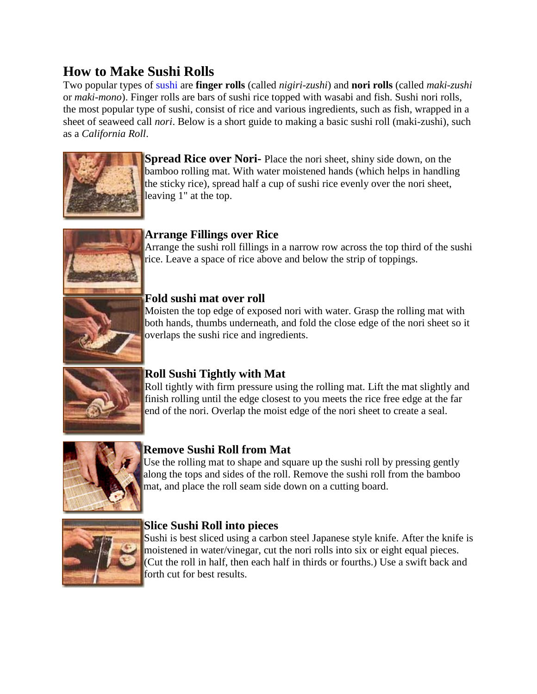# **How to Make Sushi Rolls**

Two popular types of [sushi](http://sushifan.com/) are **finger rolls** (called *nigiri-zushi*) and **nori rolls** (called *maki-zushi* or *maki-mono*). Finger rolls are bars of sushi rice topped with wasabi and fish. Sushi nori rolls, the most popular type of sushi, consist of rice and various ingredients, such as fish, wrapped in a sheet of seaweed call *nori*. Below is a short guide to making a basic sushi roll (maki-zushi), such as a *California Roll*.



**Spread Rice over Nori-** Place the nori sheet, shiny side down, on the bamboo rolling mat. With water moistened hands (which helps in handling the sticky rice), spread half a cup of sushi rice evenly over the nori sheet, leaving 1" at the top.



### **Arrange Fillings over Rice**

Arrange the sushi roll fillings in a narrow row across the top third of the sushi rice. Leave a space of rice above and below the strip of toppings.



### **Fold sushi mat over roll**

Moisten the top edge of exposed nori with water. Grasp the rolling mat with both hands, thumbs underneath, and fold the close edge of the nori sheet so it overlaps the sushi rice and ingredients.



## **Roll Sushi Tightly with Mat**

Roll tightly with firm pressure using the rolling mat. Lift the mat slightly and finish rolling until the edge closest to you meets the rice free edge at the far end of the nori. Overlap the moist edge of the nori sheet to create a seal.



## **Remove Sushi Roll from Mat**

Use the rolling mat to shape and square up the sushi roll by pressing gently along the tops and sides of the roll. Remove the sushi roll from the bamboo mat, and place the roll seam side down on a cutting board.



### **Slice Sushi Roll into pieces**

Sushi is best sliced using a carbon steel Japanese style knife. After the knife is moistened in water/vinegar, cut the nori rolls into six or eight equal pieces. (Cut the roll in half, then each half in thirds or fourths.) Use a swift back and forth cut for best results.